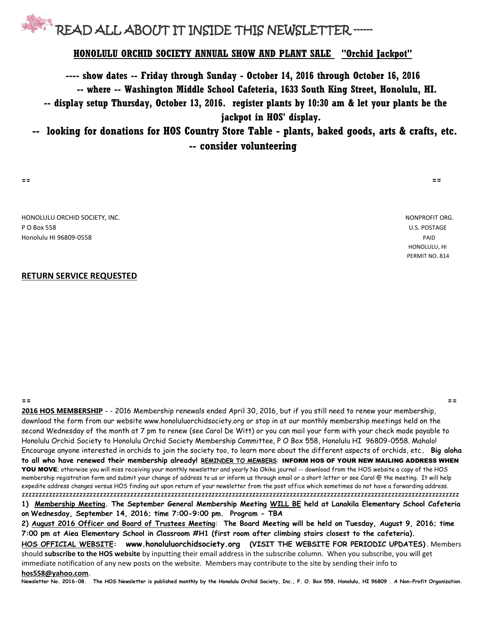

### **HONOLULU ORCHID SOCIETY ANNUAL SHOW AND PLANT SALE "Orchid Jackpot"**

**---- show dates -- Friday through Sunday - October 14, 2016 through October 16, 2016 -- where -- Washington Middle School Cafeteria, 1633 South King Street, Honolulu, HI. -- display setup Thursday, October 13, 2016. register plants by 10:30 am & let your plants be the jackpot in HOS' display.**

**-- looking for donations for HOS Country Store Table - plants, baked goods, arts & crafts, etc. -- consider volunteering** 

**== ==**

HONOLULU ORCHID SOCIETY, INC. NONPROFIT ORG. P O Box 558 U.S. POSTAGE Honolulu HI 96809-0558 PAID

#### **RETURN SERVICE REQUESTED**

**== == 2016 HOS MEMBERSHIP** - - 2016 Membership renewals ended April 30, 2016, but if you still need to renew your membership, download the form from our website www.honoluluorchidsociety.org or stop in at our monthly membership meetings held on the second Wednesday of the month at 7 pm to renew (see Carol De Witt) or you can mail your form with your check made payable to Honolulu Orchid Society to Honolulu Orchid Society Membership Committee, P O Box 558, Honolulu HI 96809-0558. Mahalo! Encourage anyone interested in orchids to join the society too, to learn more about the different aspects of orchids, etc**. Big aloha to all who have renewed their membership already! REMINDER TO MEMBERS**: INFORM HOS OF YOUR NEW MAILING ADDRESS WHEN YOU MOVE; otherwise you will miss receiving your monthly newsletter and yearly Na Okika journal -- download from the HOS website a copy of the HOS membership registration form and submit your change of address to us or inform us through email or a short letter or see Carol @ the meeting. It will help expedite address changes versus HOS finding out upon return of your newsletter from the post office which sometimes do not have a forwarding address. zzzzzzzzzzzzzzzzzzzzzzzzzzzzzzzzzzzzzzzzzzzzzzzzzzzzzzzzzzzzzzzzzzzzzzzzzzzzzzzzzzzzzzzzzzzzzzzzzzzzzzzzzzzzzzzzzzzzzzzzzzzzzzzzz **1) Membership Meeting. The September General Membership Meeting WILL BE held at Lanakila Elementary School Cafeteria on Wednesday, September 14, 2016; time 7:00-9:00 pm. Program - TBA**

**2) August 2016 Officer and Board of Trustees Meeting**: **The Board Meeting will be held on Tuesday, August 9, 2016; time 7:00 pm at Aiea Elementary School in Classroom #H1 (first room after climbing stairs closest to the cafeteria). HOS OFFICIAL WEBSITE: www.honoluluorchidsociety.org (VISIT THE WEBSITE FOR PERIODIC UPDATES)** . Members should **subscribe to the HOS website** by inputting their email address in the subscribe column. When you subscribe, you will get immediate notification of any new posts on the website. Members may contribute to the site by sending their info to **hos558@yahoo.com**.

**Newsletter No. 2016-08. The HOS Newsletter is published monthly by the Honolulu Orchid Society, Inc., P. O. Box 558, Honolulu, HI 96809 . A Non-Profit Organization.** 

 HONOLULU, HI PERMIT NO. 814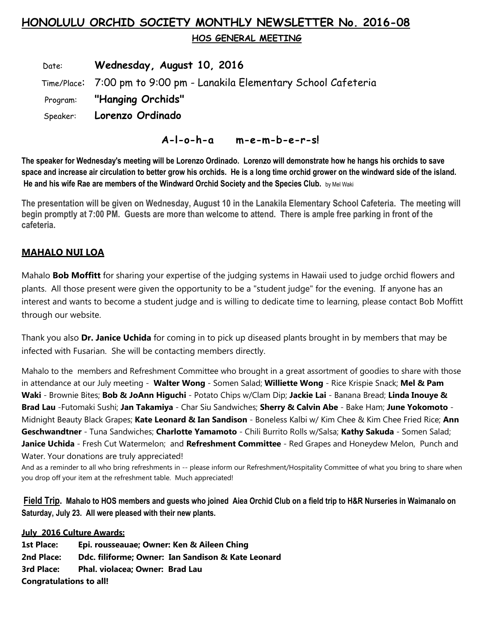# **HONOLULU ORCHID SOCIETY MONTHLY NEWSLETTER No. 2016-08**

 **HOS GENERAL MEETING** 

 Date: **Wednesday, August 10, 2016** Time/Place: 7:00 pm to 9:00 pm - Lanakila Elementary School Cafeteria Program: **"Hanging Orchids"** Speaker: **Lorenzo Ordinado**

 **A-l-o-h-a m-e-m-b-e-r-s!**

**The speaker for Wednesday's meeting will be Lorenzo Ordinado. Lorenzo will demonstrate how he hangs his orchids to save space and increase air circulation to better grow his orchids. He is a long time orchid grower on the windward side of the island. He and his wife Rae are members of the Windward Orchid Society and the Species Club.** by Mel Waki

**The presentation will be given on Wednesday, August 10 in the Lanakila Elementary School Cafeteria. The meeting will begin promptly at 7:00 PM. Guests are more than welcome to attend. There is ample free parking in front of the cafeteria.**

# **MAHALO NUI LOA**

Mahalo **Bob Moffitt** for sharing your expertise of the judging systems in Hawaii used to judge orchid flowers and plants. All those present were given the opportunity to be a "student judge" for the evening. If anyone has an interest and wants to become a student judge and is willing to dedicate time to learning, please contact Bob Moffitt through our website.

Thank you also **Dr. Janice Uchida** for coming in to pick up diseased plants brought in by members that may be infected with Fusarian. She will be contacting members directly.

Mahalo to the members and Refreshment Committee who brought in a great assortment of goodies to share with those in attendance at our July meeting - **Walter Wong** - Somen Salad; **Williette Wong** - Rice Krispie Snack; **Mel & Pam Waki** - Brownie Bites; **Bob & JoAnn Higuchi** - Potato Chips w/Clam Dip; **Jackie Lai** - Banana Bread; **Linda Inouye & Brad Lau** -Futomaki Sushi; **Jan Takamiya** - Char Siu Sandwiches; **Sherry & Calvin Abe** - Bake Ham; **June Yokomoto** - Midnight Beauty Black Grapes; **Kate Leonard & Ian Sandison** - Boneless Kalbi w/ Kim Chee & Kim Chee Fried Rice; **Ann Geschwandtner** - Tuna Sandwiches; **Charlotte Yamamoto** - Chili Burrito Rolls w/Salsa; **Kathy Sakuda** - Somen Salad; **Janice Uchida** - Fresh Cut Watermelon; and **Refreshment Committee** - Red Grapes and Honeydew Melon, Punch and Water. Your donations are truly appreciated!

And as a reminder to all who bring refreshments in -- please inform our Refreshment/Hospitality Committee of what you bring to share when you drop off your item at the refreshment table. Much appreciated!

**Field Trip. Mahalo to HOS members and guests who joined Aiea Orchid Club on a field trip to H&R Nurseries in Waimanalo on Saturday, July 23. All were pleased with their new plants.**

**July 2016 Culture Awards:**

| <b>1st Place:</b>              | Epi. rousseauae; Owner: Ken & Aileen Ching         |  |
|--------------------------------|----------------------------------------------------|--|
| 2nd Place:                     | Ddc. filiforme; Owner: Ian Sandison & Kate Leonard |  |
| 3rd Place:                     | Phal. violacea; Owner: Brad Lau                    |  |
| <b>Congratulations to all!</b> |                                                    |  |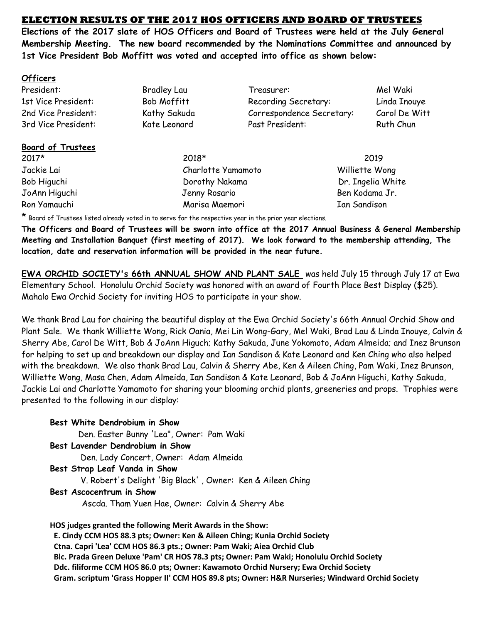## **ELECTION RESULTS OF THE 2017 HOS OFFICERS AND BOARD OF TRUSTEES**

**Elections of the 2017 slate of HOS Officers and Board of Trustees were held at the July General Membership Meeting. The new board recommended by the Nominations Committee and announced by 1st Vice President Bob Moffitt was voted and accepted into office as shown below:** 

### **Officers**

# **Board of Trustees**

Jackie Lai Charlotte Yamamoto Williette Wong Ron Yamauchi Marisa Maemori Ian Sandison

President: Bradley Lau Treasurer: Mel Waki 1st Vice President: Bob Moffitt Recording Secretary: Linda Inouye 2nd Vice President: Kathy Sakuda Correspondence Secretary: Carol De Witt 3rd Vice President: Kate Leonard Past President: Ruth Chun

2017\* 2018\* 2019 Bob Higuchi Dorothy Nakama Dorothy Nakama Dr. Ingelia White JoAnn Higuchi Jenny Rosario Ben Kodama Jr.

\* Board of Trustees listed already voted in to serve for the respective year in the prior year elections.

**The Officers and Board of Trustees will be sworn into office at the 2017 Annual Business & General Membership Meeting and Installation Banquet (first meeting of 2017). We look forward to the membership attending, The location, date and reservation information will be provided in the near future.**

**EWA ORCHID SOCIETY's 66th ANNUAL SHOW AND PLANT SALE** was held July 15 through July 17 at Ewa Elementary School. Honolulu Orchid Society was honored with an award of Fourth Place Best Display (\$25). Mahalo Ewa Orchid Society for inviting HOS to participate in your show.

We thank Brad Lau for chairing the beautiful display at the Ewa Orchid Society's 66th Annual Orchid Show and Plant Sale. We thank Williette Wong, Rick Oania, Mei Lin Wong-Gary, Mel Waki, Brad Lau & Linda Inouye, Calvin & Sherry Abe, Carol De Witt, Bob & JoAnn Higuch; Kathy Sakuda, June Yokomoto, Adam Almeida; and Inez Brunson for helping to set up and breakdown our display and Ian Sandison & Kate Leonard and Ken Ching who also helped with the breakdown. We also thank Brad Lau, Calvin & Sherry Abe, Ken & Aileen Ching, Pam Waki, Inez Brunson, Williette Wong, Masa Chen, Adam Almeida, Ian Sandison & Kate Leonard, Bob & JoAnn Higuchi, Kathy Sakuda, Jackie Lai and Charlotte Yamamoto for sharing your blooming orchid plants, greeneries and props. Trophies were presented to the following in our display:

**Best White Dendrobium in Show** Den. Easter Bunny 'Lea", Owner: Pam Waki **Best Lavender Dendrobium in Show** Den. Lady Concert, Owner: Adam Almeida **Best Strap Leaf Vanda in Show** V. Robert's Delight 'Big Black' , Owner: Ken & Aileen Ching **Best Ascocentrum in Show** Ascda. Tham Yuen Hae, Owner: Calvin & Sherry Abe

**HOS judges granted the following Merit Awards in the Show:**

 **E. Cindy CCM HOS 88.3 pts; Owner: Ken & Aileen Ching; Kunia Orchid Society Ctna. Capri 'Lea' CCM HOS 86.3 pts.; Owner: Pam Waki; Aiea Orchid Club Blc. Prada Green Deluxe 'Pam' CR HOS 78.3 pts; Owner: Pam Waki; Honolulu Orchid Society Ddc. filiforme CCM HOS 86.0 pts; Owner: Kawamoto Orchid Nursery; Ewa Orchid Society Gram. scriptum 'Grass Hopper II' CCM HOS 89.8 pts; Owner: H&R Nurseries; Windward Orchid Society**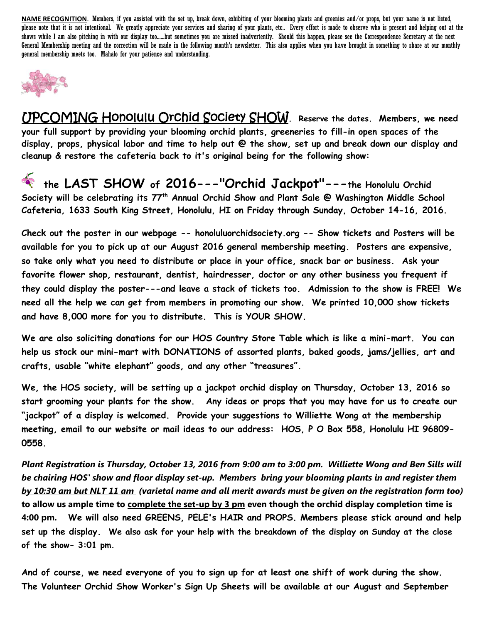**NAME RECOGNITION**. Members, if you assisted with the set up, break down, exhibiting of your blooming plants and greenies and/or props, but your name is not listed, please note that it is not intentional. We greatly appreciate your services and sharing of your plants, etc.. Every effort is made to observe who is present and helping out at the shows while I am also pitching in with our display too......but sometimes you are missed inadvertently. Should this happen, please see the Correspondence Secretary at the next General Membership meeting and the correction will be made in the following month's newsletter. This also applies when you have brought in something to share at our monthly general membership meets too. Mahalo for your patience and understanding.



UPCOMING Honolulu Orchid Society SHOW**. Reserve the dates. Members, we need your full support by providing your blooming orchid plants, greeneries to fill-in open spaces of the display, props, physical labor and time to help out @ the show, set up and break down our display and cleanup & restore the cafeteria back to it's original being for the following show:**

 **the LAST SHOW of 2016---"Orchid Jackpot"---the Honolulu Orchid Society will be celebrating its 77th Annual Orchid Show and Plant Sale @ Washington Middle School Cafeteria, 1633 South King Street, Honolulu, HI on Friday through Sunday, October 14-16, 2016.** 

**Check out the poster in our webpage -- honoluluorchidsociety.org -- Show tickets and Posters will be available for you to pick up at our August 2016 general membership meeting. Posters are expensive, so take only what you need to distribute or place in your office, snack bar or business. Ask your favorite flower shop, restaurant, dentist, hairdresser, doctor or any other business you frequent if they could display the poster---and leave a stack of tickets too. Admission to the show is FREE! We need all the help we can get from members in promoting our show. We printed 10,000 show tickets and have 8,000 more for you to distribute. This is YOUR SHOW.** 

**We are also soliciting donations for our HOS Country Store Table which is like a mini-mart. You can help us stock our mini-mart with DONATIONS of assorted plants, baked goods, jams/jellies, art and crafts, usable "white elephant" goods, and any other "treasures".** 

**We, the HOS society, will be setting up a jackpot orchid display on Thursday, October 13, 2016 so start grooming your plants for the show. Any ideas or props that you may have for us to create our "jackpot" of a display is welcomed. Provide your suggestions to Williette Wong at the membership meeting, email to our website or mail ideas to our address: HOS, P O Box 558, Honolulu HI 96809- 0558.** 

*Plant Registration is Thursday, October 13, 2016 from 9:00 am to 3:00 pm. Williette Wong and Ben Sills will be chairing HOS' show and floor display set-up. Members bring your blooming plants in and register them by 10:30 am but NLT 11 am (varietal name and all merit awards must be given on the registration form too)* **to allow us ample time to complete the set-up by 3 pm even though the orchid display completion time is 4:00 pm. We will also need GREENS, PELE's HAIR and PROPS. Members please stick around and help set up the display. We also ask for your help with the breakdown of the display on Sunday at the close of the show- 3:01 pm.**

**And of course, we need everyone of you to sign up for at least one shift of work during the show. The Volunteer Orchid Show Worker's Sign Up Sheets will be available at our August and September**